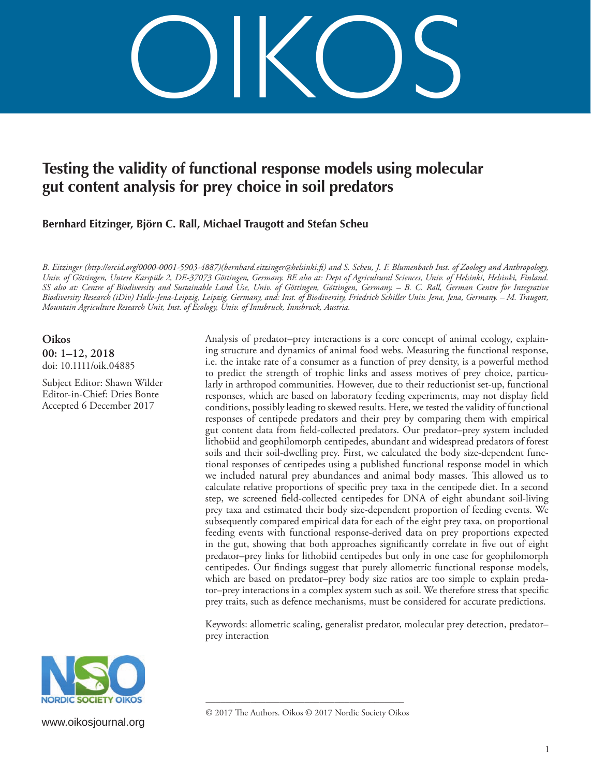OIKOS

# **Testing the validity of functional response models using molecular gut content analysis for prey choice in soil predators**

**Bernhard Eitzinger, Björn C. Rall, Michael Traugott and Stefan Scheu** 

*B. Eitzinger (http://orcid.org/0000-0001-5903-4887)(bernhard.eitzinger@helsinki.fi) and S. Scheu, J. F. Blumenbach Inst. of Zoology and Anthropology, Univ. of Göttingen, Untere Karspüle 2, DE-37073 Göttingen, Germany. BE also at: Dept of Agricultural Sciences, Univ. of Helsinki, Helsinki, Finland. SS also at: Centre of Biodiversity and Sustainable Land Use, Univ. of Göttingen, Göttingen, Germany. – B. C. Rall, German Centre for Integrative Biodiversity Research (iDiv) Halle-Jena-Leipzig, Leipzig, Germany, and: Inst. of Biodiversity, Friedrich Schiller Univ. Jena, Jena, Germany. – M. Traugott, Mountain Agriculture Research Unit, Inst. of Ecology, Univ. of Innsbruck, Innsbruck, Austria.* 

**Oikos 00: 1–12, 2018** doi: 10.1111/oik.04885

Subject Editor: Shawn Wilder Editor-in-Chief: Dries Bonte Accepted 6 December 2017

Analysis of predator–prey interactions is a core concept of animal ecology, explaining structure and dynamics of animal food webs. Measuring the functional response, i.e. the intake rate of a consumer as a function of prey density, is a powerful method to predict the strength of trophic links and assess motives of prey choice, particularly in arthropod communities. However, due to their reductionist set-up, functional responses, which are based on laboratory feeding experiments, may not display field conditions, possibly leading to skewed results. Here, we tested the validity of functional responses of centipede predators and their prey by comparing them with empirical gut content data from field-collected predators. Our predator–prey system included lithobiid and geophilomorph centipedes, abundant and widespread predators of forest soils and their soil-dwelling prey. First, we calculated the body size-dependent functional responses of centipedes using a published functional response model in which we included natural prey abundances and animal body masses. This allowed us to calculate relative proportions of specific prey taxa in the centipede diet. In a second step, we screened field-collected centipedes for DNA of eight abundant soil-living prey taxa and estimated their body size-dependent proportion of feeding events. We subsequently compared empirical data for each of the eight prey taxa, on proportional feeding events with functional response-derived data on prey proportions expected in the gut, showing that both approaches significantly correlate in five out of eight predator–prey links for lithobiid centipedes but only in one case for geophilomorph centipedes. Our findings suggest that purely allometric functional response models, which are based on predator–prey body size ratios are too simple to explain predator–prey interactions in a complex system such as soil. We therefore stress that specific prey traits, such as defence mechanisms, must be considered for accurate predictions.

Keywords: allometric scaling, generalist predator, molecular prey detection, predator– prey interaction



www.oikosjournal.org

<sup>––––––––––––––––––––––––––––––––––––––––</sup> © 2017 The Authors. Oikos © 2017 Nordic Society Oikos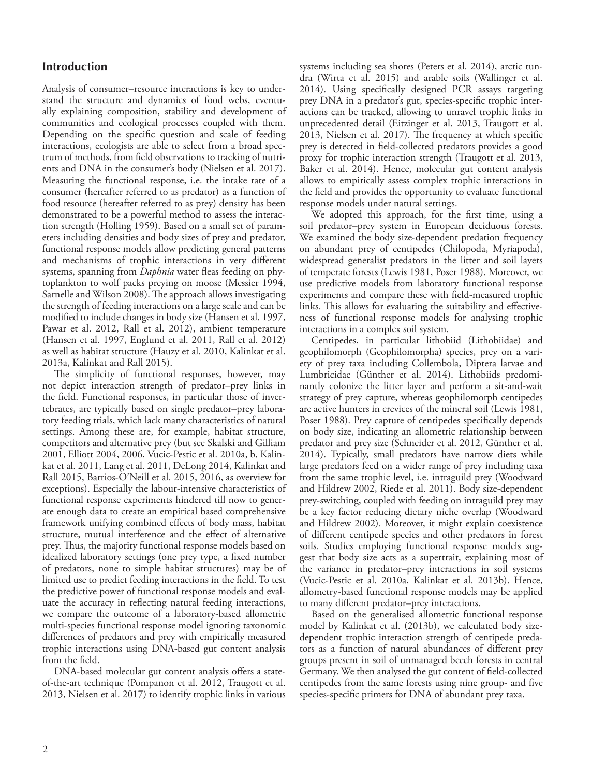# **Introduction**

Analysis of consumer–resource interactions is key to understand the structure and dynamics of food webs, eventually explaining composition, stability and development of communities and ecological processes coupled with them. Depending on the specific question and scale of feeding interactions, ecologists are able to select from a broad spectrum of methods, from field observations to tracking of nutrients and DNA in the consumer's body (Nielsen et al. 2017). Measuring the functional response, i.e. the intake rate of a consumer (hereafter referred to as predator) as a function of food resource (hereafter referred to as prey) density has been demonstrated to be a powerful method to assess the interaction strength (Holling 1959). Based on a small set of parameters including densities and body sizes of prey and predator, functional response models allow predicting general patterns and mechanisms of trophic interactions in very different systems, spanning from *Daphnia* water fleas feeding on phytoplankton to wolf packs preying on moose (Messier 1994, Sarnelle and Wilson 2008). The approach allows investigating the strength of feeding interactions on a large scale and can be modified to include changes in body size (Hansen et al. 1997, Pawar et al. 2012, Rall et al. 2012), ambient temperature (Hansen et al. 1997, Englund et al. 2011, Rall et al. 2012) as well as habitat structure (Hauzy et al. 2010, Kalinkat et al. 2013a, Kalinkat and Rall 2015).

The simplicity of functional responses, however, may not depict interaction strength of predator–prey links in the field. Functional responses, in particular those of invertebrates, are typically based on single predator–prey laboratory feeding trials, which lack many characteristics of natural settings. Among these are, for example, habitat structure, competitors and alternative prey (but see Skalski and Gilliam 2001, Elliott 2004, 2006, Vucic-Pestic et al. 2010a, b, Kalinkat et al. 2011, Lang et al. 2011, DeLong 2014, Kalinkat and Rall 2015, Barrios-O'Neill et al. 2015, 2016, as overview for exceptions). Especially the labour-intensive characteristics of functional response experiments hindered till now to generate enough data to create an empirical based comprehensive framework unifying combined effects of body mass, habitat structure, mutual interference and the effect of alternative prey. Thus, the majority functional response models based on idealized laboratory settings (one prey type, a fixed number of predators, none to simple habitat structures) may be of limited use to predict feeding interactions in the field. To test the predictive power of functional response models and evaluate the accuracy in reflecting natural feeding interactions, we compare the outcome of a laboratory-based allometric multi-species functional response model ignoring taxonomic differences of predators and prey with empirically measured trophic interactions using DNA-based gut content analysis from the field.

DNA-based molecular gut content analysis offers a stateof-the-art technique (Pompanon et al. 2012, Traugott et al. 2013, Nielsen et al. 2017) to identify trophic links in various systems including sea shores (Peters et al. 2014), arctic tundra (Wirta et al. 2015) and arable soils (Wallinger et al. 2014). Using specifically designed PCR assays targeting prey DNA in a predator's gut, species-specific trophic interactions can be tracked, allowing to unravel trophic links in unprecedented detail (Eitzinger et al. 2013, Traugott et al. 2013, Nielsen et al. 2017). The frequency at which specific prey is detected in field-collected predators provides a good proxy for trophic interaction strength (Traugott et al. 2013, Baker et al. 2014). Hence, molecular gut content analysis allows to empirically assess complex trophic interactions in the field and provides the opportunity to evaluate functional response models under natural settings.

We adopted this approach, for the first time, using a soil predator–prey system in European deciduous forests. We examined the body size-dependent predation frequency on abundant prey of centipedes (Chilopoda, Myriapoda), widespread generalist predators in the litter and soil layers of temperate forests (Lewis 1981, Poser 1988). Moreover, we use predictive models from laboratory functional response experiments and compare these with field-measured trophic links. This allows for evaluating the suitability and effectiveness of functional response models for analysing trophic interactions in a complex soil system.

Centipedes, in particular lithobiid (Lithobiidae) and geophilomorph (Geophilomorpha) species, prey on a variety of prey taxa including Collembola, Diptera larvae and Lumbricidae (Günther et al. 2014). Lithobiids predominantly colonize the litter layer and perform a sit-and-wait strategy of prey capture, whereas geophilomorph centipedes are active hunters in crevices of the mineral soil (Lewis 1981, Poser 1988). Prey capture of centipedes specifically depends on body size, indicating an allometric relationship between predator and prey size (Schneider et al. 2012, Günther et al. 2014). Typically, small predators have narrow diets while large predators feed on a wider range of prey including taxa from the same trophic level, i.e. intraguild prey (Woodward and Hildrew 2002, Riede et al. 2011). Body size-dependent prey-switching, coupled with feeding on intraguild prey may be a key factor reducing dietary niche overlap (Woodward and Hildrew 2002). Moreover, it might explain coexistence of different centipede species and other predators in forest soils. Studies employing functional response models suggest that body size acts as a supertrait, explaining most of the variance in predator–prey interactions in soil systems (Vucic-Pestic et al. 2010a, Kalinkat et al. 2013b). Hence, allometry-based functional response models may be applied to many different predator–prey interactions.

Based on the generalised allometric functional response model by Kalinkat et al. (2013b), we calculated body sizedependent trophic interaction strength of centipede predators as a function of natural abundances of different prey groups present in soil of unmanaged beech forests in central Germany. We then analysed the gut content of field-collected centipedes from the same forests using nine group- and five species-specific primers for DNA of abundant prey taxa.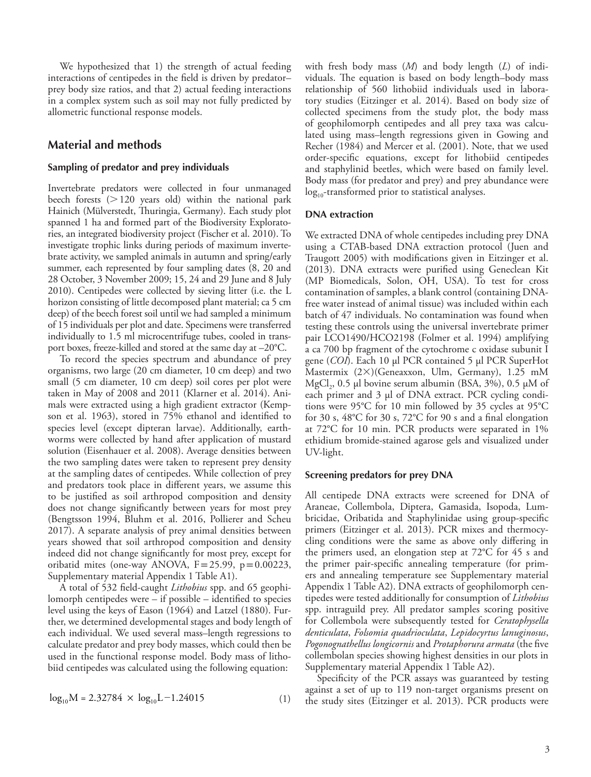We hypothesized that 1) the strength of actual feeding interactions of centipedes in the field is driven by predator– prey body size ratios, and that 2) actual feeding interactions in a complex system such as soil may not fully predicted by allometric functional response models.

# **Material and methods**

## **Sampling of predator and prey individuals**

Invertebrate predators were collected in four unmanaged beech forests  $(>120$  years old) within the national park Hainich (Mülverstedt, Thuringia, Germany). Each study plot spanned 1 ha and formed part of the Biodiversity Exploratories, an integrated biodiversity project (Fischer et al. 2010). To investigate trophic links during periods of maximum invertebrate activity, we sampled animals in autumn and spring/early summer, each represented by four sampling dates (8, 20 and 28 October, 3 November 2009; 15, 24 and 29 June and 8 July 2010). Centipedes were collected by sieving litter (i.e. the L horizon consisting of little decomposed plant material; ca 5 cm deep) of the beech forest soil until we had sampled a minimum of 15 individuals per plot and date. Specimens were transferred individually to 1.5 ml microcentrifuge tubes, cooled in transport boxes, freeze-killed and stored at the same day at –20°C.

To record the species spectrum and abundance of prey organisms, two large (20 cm diameter, 10 cm deep) and two small (5 cm diameter, 10 cm deep) soil cores per plot were taken in May of 2008 and 2011 (Klarner et al. 2014). Animals were extracted using a high gradient extractor (Kempson et al. 1963), stored in 75% ethanol and identified to species level (except dipteran larvae). Additionally, earthworms were collected by hand after application of mustard solution (Eisenhauer et al. 2008). Average densities between the two sampling dates were taken to represent prey density at the sampling dates of centipedes. While collection of prey and predators took place in different years, we assume this to be justified as soil arthropod composition and density does not change significantly between years for most prey (Bengtsson 1994, Bluhm et al. 2016, Pollierer and Scheu 2017). A separate analysis of prey animal densities between years showed that soil arthropod composition and density indeed did not change significantly for most prey, except for oribatid mites (one-way ANOVA,  $F=25.99$ ,  $p=0.00223$ , Supplementary material Appendix 1 Table A1).

A total of 532 field-caught *Lithobius* spp. and 65 geophilomorph centipedes were – if possible – identified to species level using the keys of Eason (1964) and Latzel (1880). Further, we determined developmental stages and body length of each individual. We used several mass–length regressions to calculate predator and prey body masses, which could then be used in the functional response model. Body mass of lithobiid centipedes was calculated using the following equation:

$$
\log_{10} M = 2.32784 \times \log_{10} L - 1.24015 \tag{1}
$$

with fresh body mass (*M*) and body length (*L*) of individuals. The equation is based on body length–body mass relationship of 560 lithobiid individuals used in laboratory studies (Eitzinger et al. 2014). Based on body size of collected specimens from the study plot, the body mass of geophilomorph centipedes and all prey taxa was calculated using mass–length regressions given in Gowing and Recher (1984) and Mercer et al. (2001). Note, that we used order-specific equations, except for lithobiid centipedes and staphylinid beetles, which were based on family level. Body mass (for predator and prey) and prey abundance were log<sub>10</sub>-transformed prior to statistical analyses.

# **DNA extraction**

We extracted DNA of whole centipedes including prey DNA using a CTAB-based DNA extraction protocol (Juen and Traugott 2005) with modifications given in Eitzinger et al. (2013). DNA extracts were purified using Geneclean Kit (MP Biomedicals, Solon, OH, USA). To test for cross contamination of samples, a blank control (containing DNAfree water instead of animal tissue) was included within each batch of 47 individuals. No contamination was found when testing these controls using the universal invertebrate primer pair LCO1490/HCO2198 (Folmer et al. 1994) amplifying a ca 700 bp fragment of the cytochrome c oxidase subunit I gene (*COI*). Each 10 µl PCR contained 5 µl PCR SuperHot Mastermix  $(2\times)$ (Geneaxxon, Ulm, Germany), 1.25 mM MgCl<sub>2</sub>, 0.5 µl bovine serum albumin (BSA, 3%), 0.5 µM of each primer and 3 µl of DNA extract. PCR cycling conditions were 95°C for 10 min followed by 35 cycles at 95°C for 30 s, 48°C for 30 s, 72°C for 90 s and a final elongation at 72°C for 10 min. PCR products were separated in 1% ethidium bromide-stained agarose gels and visualized under UV-light.

### **Screening predators for prey DNA**

All centipede DNA extracts were screened for DNA of Araneae, Collembola, Diptera, Gamasida, Isopoda, Lumbricidae, Oribatida and Staphylinidae using group-specific primers (Eitzinger et al. 2013). PCR mixes and thermocycling conditions were the same as above only differing in the primers used, an elongation step at 72°C for 45 s and the primer pair-specific annealing temperature (for primers and annealing temperature see Supplementary material Appendix 1 Table A2). DNA extracts of geophilomorph centipedes were tested additionally for consumption of *Lithobius* spp. intraguild prey. All predator samples scoring positive for Collembola were subsequently tested for *Ceratophysella denticulata*, *Folsomia quadrioculata*, *Lepidocyrtus lanuginosus*, *Pogonognathellus longicornis* and *Protaphorura armata* (the five collembolan species showing highest densities in our plots in Supplementary material Appendix 1 Table A2).

Specificity of the PCR assays was guaranteed by testing against a set of up to 119 non-target organisms present on the study sites (Eitzinger et al. 2013). PCR products were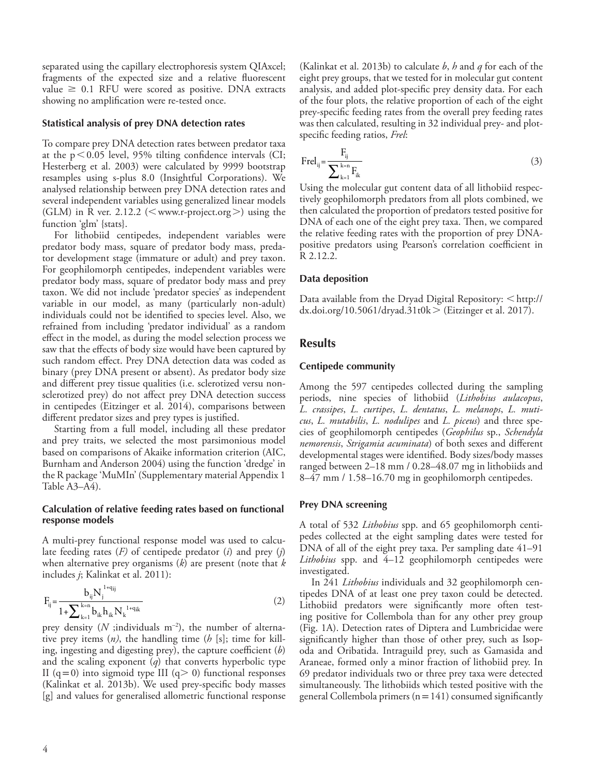separated using the capillary electrophoresis system QIAxcel; fragments of the expected size and a relative fluorescent value  $\geq 0.1$  RFU were scored as positive. DNA extracts showing no amplification were re-tested once.

## **Statistical analysis of prey DNA detection rates**

To compare prey DNA detection rates between predator taxa at the  $p<0.05$  level, 95% tilting confidence intervals (CI; Hesterberg et al. 2003) were calculated by 9999 bootstrap resamples using s-plus 8.0 (Insightful Corporations). We analysed relationship between prey DNA detection rates and several independent variables using generalized linear models (GLM) in R ver. 2.12.2 ( $\leq$  www.r-project.org $>$ ) using the function 'glm' {stats}.

For lithobiid centipedes, independent variables were predator body mass, square of predator body mass, predator development stage (immature or adult) and prey taxon. For geophilomorph centipedes, independent variables were predator body mass, square of predator body mass and prey taxon. We did not include 'predator species' as independent variable in our model, as many (particularly non-adult) individuals could not be identified to species level. Also, we refrained from including 'predator individual' as a random effect in the model, as during the model selection process we saw that the effects of body size would have been captured by such random effect. Prey DNA detection data was coded as binary (prey DNA present or absent). As predator body size and different prey tissue qualities (i.e. sclerotized versu nonsclerotized prey) do not affect prey DNA detection success in centipedes (Eitzinger et al. 2014), comparisons between different predator sizes and prey types is justified.

Starting from a full model, including all these predator and prey traits, we selected the most parsimonious model based on comparisons of Akaike information criterion (AIC, Burnham and Anderson 2004) using the function 'dredge' in the R package 'MuMIn' (Supplementary material Appendix 1 Table A3–A4).

# **Calculation of relative feeding rates based on functional response models**

A multi-prey functional response model was used to calculate feeding rates (*F)* of centipede predator (*i*) and prey (*j*) when alternative prey organisms (*k*) are present (note that *k* includes *j*; Kalinkat et al. 2011):

$$
F_{ij} = \frac{b_{ij} N_j^{1+q_{ij}}}{1 + \sum_{k=1}^{k=n} b_{ik} h_{ik} N_k^{1+q_{ik}}}
$$
(2)

prey density  $(N \text{ ;individuals } m^{-2})$ , the number of alternative prey items (*n)*, the handling time (*h* [s]; time for killing, ingesting and digesting prey), the capture coefficient (*b*) and the scaling exponent (*q*) that converts hyperbolic type II  $(q=0)$  into sigmoid type III  $(q>0)$  functional responses (Kalinkat et al. 2013b). We used prey-specific body masses [g] and values for generalised allometric functional response (Kalinkat et al. 2013b) to calculate *b*, *h* and *q* for each of the eight prey groups, that we tested for in molecular gut content analysis, and added plot-specific prey density data. For each of the four plots, the relative proportion of each of the eight prey-specific feeding rates from the overall prey feeding rates was then calculated, resulting in 32 individual prey- and plotspecific feeding ratios, *Frel*:

$$
Frel_{ij} = \frac{F_{ij}}{\sum_{k=1}^{k=n} F_{ik}}
$$
 (3)

Using the molecular gut content data of all lithobiid respectively geophilomorph predators from all plots combined, we then calculated the proportion of predators tested positive for DNA of each one of the eight prey taxa. Then, we compared the relative feeding rates with the proportion of prey DNApositive predators using Pearson's correlation coefficient in R 2.12.2.

### **Data deposition**

Data available from the Dryad Digital Repository:  $\leq$ http:// dx.doi.org/10.5061/dryad.31t0k  $>$  (Eitzinger et al. 2017).

# **Results**

### **Centipede community**

Among the 597 centipedes collected during the sampling periods, nine species of lithobiid (*Lithobius aulacopus*, *L. crassipes*, *L. curtipes*, *L. dentatus*, *L. melanops*, *L. muticus*, *L. mutabilis*, *L. nodulipes* and *L. piceus*) and three species of geophilomorph centipedes (*Geophilus* sp., *Schendyla nemorensis*, *Strigamia acuminata*) of both sexes and different developmental stages were identified. Body sizes/body masses ranged between 2–18 mm / 0.28–48.07 mg in lithobiids and 8–47 mm / 1.58–16.70 mg in geophilomorph centipedes.

# **Prey DNA screening**

A total of 532 *Lithobius* spp. and 65 geophilomorph centipedes collected at the eight sampling dates were tested for DNA of all of the eight prey taxa. Per sampling date 41–91 *Lithobius* spp. and 4–12 geophilomorph centipedes were investigated.

In 241 *Lithobius* individuals and 32 geophilomorph centipedes DNA of at least one prey taxon could be detected. Lithobiid predators were significantly more often testing positive for Collembola than for any other prey group (Fig. 1A). Detection rates of Diptera and Lumbricidae were significantly higher than those of other prey, such as Isopoda and Oribatida. Intraguild prey, such as Gamasida and Araneae, formed only a minor fraction of lithobiid prey. In 69 predator individuals two or three prey taxa were detected simultaneously. The lithobiids which tested positive with the general Collembola primers ( $n=141$ ) consumed significantly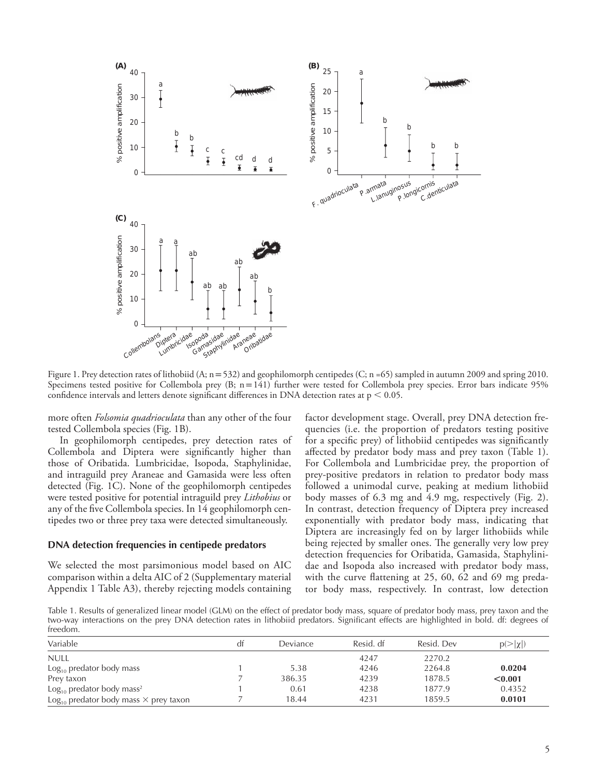

Figure 1. Prey detection rates of lithobiid (A; n = 532) and geophilomorph centipedes (C; n = 65) sampled in autumn 2009 and spring 2010. Specimens tested positive for Collembola prey (B; n=141) further were tested for Collembola prey species. Error bars indicate 95% confidence intervals and letters denote significant differences in DNA detection rates at  $p < 0.05$ .

more often *Folsomia quadrioculata* than any other of the four tested Collembola species (Fig. 1B).

In geophilomorph centipedes, prey detection rates of Collembola and Diptera were significantly higher than those of Oribatida. Lumbricidae, Isopoda, Staphylinidae, and intraguild prey Araneae and Gamasida were less often detected (Fig. 1C). None of the geophilomorph centipedes were tested positive for potential intraguild prey *Lithobius* or any of the five Collembola species. In 14 geophilomorph centipedes two or three prey taxa were detected simultaneously.

#### **DNA detection frequencies in centipede predators**

We selected the most parsimonious model based on AIC comparison within a delta AIC of 2 (Supplementary material Appendix 1 Table A3), thereby rejecting models containing factor development stage. Overall, prey DNA detection frequencies (i.e. the proportion of predators testing positive for a specific prey) of lithobiid centipedes was significantly affected by predator body mass and prey taxon (Table 1). For Collembola and Lumbricidae prey, the proportion of prey-positive predators in relation to predator body mass followed a unimodal curve, peaking at medium lithobiid body masses of 6.3 mg and 4.9 mg, respectively (Fig. 2). In contrast, detection frequency of Diptera prey increased exponentially with predator body mass, indicating that Diptera are increasingly fed on by larger lithobiids while being rejected by smaller ones. The generally very low prey detection frequencies for Oribatida, Gamasida, Staphylinidae and Isopoda also increased with predator body mass, with the curve flattening at 25, 60, 62 and 69 mg predator body mass, respectively. In contrast, low detection

Table 1. Results of generalized linear model (GLM) on the effect of predator body mass, square of predator body mass, prey taxon and the two-way interactions on the prey DNA detection rates in lithobiid predators. Significant effects are highlighted in bold. df: degrees of freedom.

| Variable                                                 | dt | <b>Deviance</b> | Resid. df | Resid. Dev | $p(>\vert\chi\vert)$ |
|----------------------------------------------------------|----|-----------------|-----------|------------|----------------------|
| <b>NULL</b>                                              |    |                 | 4247      | 2270.2     |                      |
| $Log10$ predator body mass                               |    | 5.38            | 4246      | 2264.8     | 0.0204               |
| Prey taxon                                               |    | 386.35          | 4239      | 1878.5     | < 0.001              |
| $Log10$ predator body mass <sup>2</sup>                  |    | 0.61            | 4238      | 1877.9     | 0.4352               |
| $\text{Log}_{10}$ predator body mass $\times$ prey taxon |    | 18.44           | 4231      | 1859.5     | 0.0101               |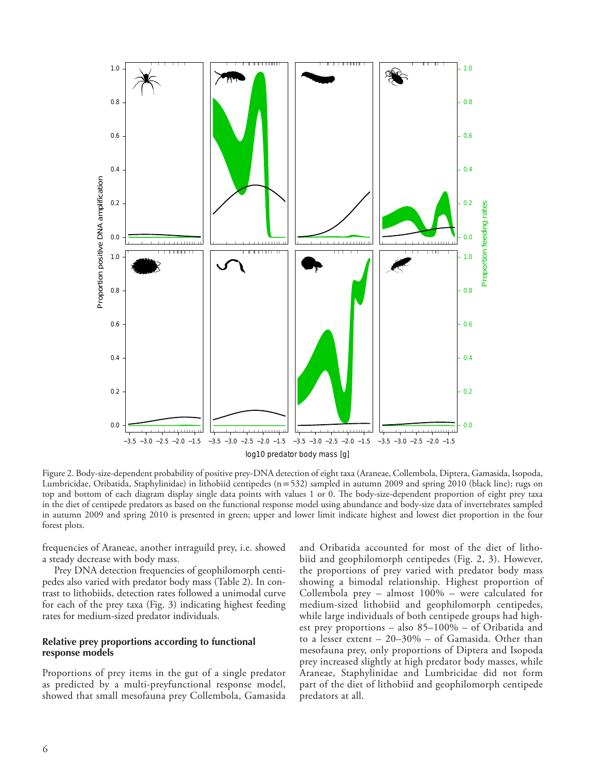

Figure 2. Body-size-dependent probability of positive prey-DNA detection of eight taxa (Araneae, Collembola, Diptera, Gamasida, Isopoda, Lumbricidae, Oribatida, Staphylinidae) in lithobiid centipedes (n=532) sampled in autumn 2009 and spring 2010 (black line); rugs on top and bottom of each diagram display single data points with values 1 or 0. The body-size-dependent proportion of eight prey taxa in the diet of centipede predators as based on the functional response model using abundance and body-size data of invertebrates sampled in autumn 2009 and spring 2010 is presented in green; upper and lower limit indicate highest and lowest diet proportion in the four forest plots.

frequencies of Araneae, another intraguild prey, i.e. showed a steady decrease with body mass.

Prey DNA detection frequencies of geophilomorph centipedes also varied with predator body mass (Table 2). In contrast to lithobiids, detection rates followed a unimodal curve for each of the prey taxa (Fig. 3) indicating highest feeding rates for medium-sized predator individuals.

# **Relative prey proportions according to functional response models**

Proportions of prey items in the gut of a single predator as predicted by a multi-preyfunctional response model, showed that small mesofauna prey Collembola, Gamasida and Oribatida accounted for most of the diet of lithobiid and geophilomorph centipedes (Fig. 2, 3). However, the proportions of prey varied with predator body mass showing a bimodal relationship. Highest proportion of Collembola prey – almost 100% – were calculated for medium-sized lithobiid and geophilomorph centipedes, while large individuals of both centipede groups had highest prey proportions – also 85–100% – of Oribatida and to a lesser extent – 20–30% – of Gamasida. Other than mesofauna prey, only proportions of Diptera and Isopoda prey increased slightly at high predator body masses, while Araneae, Staphylinidae and Lumbricidae did not form part of the diet of lithobiid and geophilomorph centipede predators at all.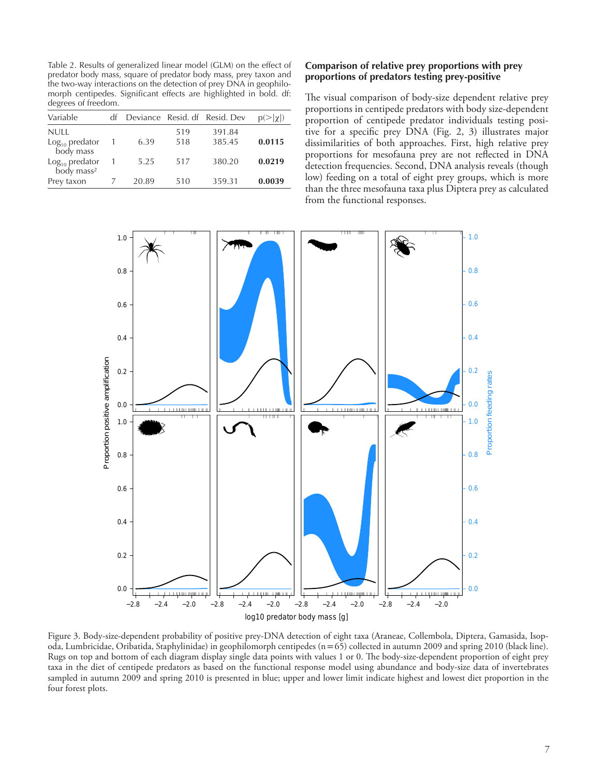Table 2. Results of generalized linear model (GLM) on the effect of predator body mass, square of predator body mass, prey taxon and the two-way interactions on the detection of prey DNA in geophilomorph centipedes. Significant effects are highlighted in bold. df: degrees of freedom.

| Variable                                   | df |       |     | Deviance Resid. df Resid. Dev | $p(>\vert \chi \vert)$ |
|--------------------------------------------|----|-------|-----|-------------------------------|------------------------|
| <b>NULL</b>                                |    |       | 519 | 391.84                        |                        |
| $Log10$ predator<br>body mass              |    | 6.39  | 518 | 385.45                        | 0.0115                 |
| $Log10$ predator<br>body mass <sup>2</sup> |    | 5.25  | 517 | 380.20                        | 0.0219                 |
| Prev taxon                                 |    | 20.89 | 510 | 359.31                        | 0.0039                 |

# **Comparison of relative prey proportions with prey proportions of predators testing prey-positive**

The visual comparison of body-size dependent relative prey proportions in centipede predators with body size-dependent proportion of centipede predator individuals testing positive for a specific prey DNA (Fig. 2, 3) illustrates major dissimilarities of both approaches. First, high relative prey proportions for mesofauna prey are not reflected in DNA detection frequencies. Second, DNA analysis reveals (though low) feeding on a total of eight prey groups, which is more than the three mesofauna taxa plus Diptera prey as calculated from the functional responses.



Figure 3. Body-size-dependent probability of positive prey-DNA detection of eight taxa (Araneae, Collembola, Diptera, Gamasida, Isopoda, Lumbricidae, Oribatida, Staphylinidae) in geophilomorph centipedes (n=65) collected in autumn 2009 and spring 2010 (black line). Rugs on top and bottom of each diagram display single data points with values 1 or 0. The body-size-dependent proportion of eight prey taxa in the diet of centipede predators as based on the functional response model using abundance and body-size data of invertebrates sampled in autumn 2009 and spring 2010 is presented in blue; upper and lower limit indicate highest and lowest diet proportion in the four forest plots.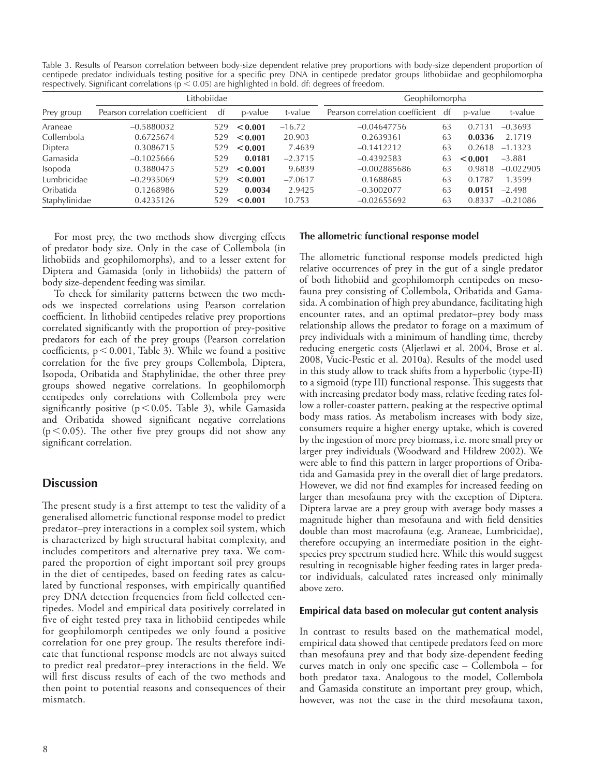Table 3. Results of Pearson correlation between body-size dependent relative prey proportions with body-size dependent proportion of centipede predator individuals testing positive for a specific prey DNA in centipede predator groups lithobiidae and geophilomorpha respectively. Significant correlations ( $p < 0.05$ ) are highlighted in bold. df: degrees of freedom.

|                | Lithobiidae                     |     |         |           | Geophilomorpha                  |    |                      |             |
|----------------|---------------------------------|-----|---------|-----------|---------------------------------|----|----------------------|-------------|
| Prey group     | Pearson correlation coefficient | dt  | p-value | t-value   | Pearson correlation coefficient | df | p-value              | t-value     |
| Araneae        | $-0.5880032$                    | 529 | < 0.001 | $-16.72$  | $-0.04647756$                   | 63 | 131<br>$0.7^{\circ}$ | $-0.3693$   |
| Collembola     | 0.6725674                       | 529 | < 0.001 | 20.903    | 0.2639361                       | 63 | 0.0336               | 2.1719      |
| Diptera        | 0.3086715                       | 529 | < 0.001 | 7.4639    | $-0.1412212$                    | 63 | 0.2618               | $-1.1323$   |
| Gamasida       | $-0.1025666$                    | 529 | 0.0181  | $-2.3715$ | $-0.4392583$                    | 63 | < 0.001              | $-3.881$    |
| <b>Isopoda</b> | 0.3880475                       | 529 | < 0.001 | 9.6839    | $-0.002885686$                  | 63 | 0.9818               | $-0.022905$ |
| Lumbricidae    | $-0.2935069$                    | 529 | < 0.001 | $-7.0617$ | 0.1688685                       | 63 | 0.1787               | 1.3599      |
| Oribatida      | 0.1268986                       | 529 | 0.0034  | 2.9425    | $-0.3002077$                    | 63 | 0.0151               | $-2.498$    |
| Staphylinidae  | 0.4235126                       | 529 | < 0.001 | 10.753    | $-0.02655692$                   | 63 | 0.8337               | $-0.21086$  |

For most prey, the two methods show diverging effects of predator body size. Only in the case of Collembola (in lithobiids and geophilomorphs), and to a lesser extent for Diptera and Gamasida (only in lithobiids) the pattern of body size-dependent feeding was similar.

To check for similarity patterns between the two methods we inspected correlations using Pearson correlation coefficient. In lithobiid centipedes relative prey proportions correlated significantly with the proportion of prey-positive predators for each of the prey groups (Pearson correlation coefficients,  $p < 0.001$ , Table 3). While we found a positive correlation for the five prey groups Collembola, Diptera, Isopoda, Oribatida and Staphylinidae, the other three prey groups showed negative correlations. In geophilomorph centipedes only correlations with Collembola prey were significantly positive ( $p<0.05$ , Table 3), while Gamasida and Oribatida showed significant negative correlations ( $p$ <0.05). The other five prey groups did not show any significant correlation.

# **Discussion**

The present study is a first attempt to test the validity of a generalised allometric functional response model to predict predator–prey interactions in a complex soil system, which is characterized by high structural habitat complexity, and includes competitors and alternative prey taxa. We compared the proportion of eight important soil prey groups in the diet of centipedes, based on feeding rates as calculated by functional responses, with empirically quantified prey DNA detection frequencies from field collected centipedes. Model and empirical data positively correlated in five of eight tested prey taxa in lithobiid centipedes while for geophilomorph centipedes we only found a positive correlation for one prey group. The results therefore indicate that functional response models are not always suited to predict real predator–prey interactions in the field. We will first discuss results of each of the two methods and then point to potential reasons and consequences of their mismatch.

# **The allometric functional response model**

The allometric functional response models predicted high relative occurrences of prey in the gut of a single predator of both lithobiid and geophilomorph centipedes on mesofauna prey consisting of Collembola, Oribatida and Gamasida. A combination of high prey abundance, facilitating high encounter rates, and an optimal predator–prey body mass relationship allows the predator to forage on a maximum of prey individuals with a minimum of handling time, thereby reducing energetic costs (Aljetlawi et al. 2004, Brose et al. 2008, Vucic-Pestic et al. 2010a). Results of the model used in this study allow to track shifts from a hyperbolic (type-II) to a sigmoid (type III) functional response. This suggests that with increasing predator body mass, relative feeding rates follow a roller-coaster pattern, peaking at the respective optimal body mass ratios. As metabolism increases with body size, consumers require a higher energy uptake, which is covered by the ingestion of more prey biomass, i.e. more small prey or larger prey individuals (Woodward and Hildrew 2002). We were able to find this pattern in larger proportions of Oribatida and Gamasida prey in the overall diet of large predators. However, we did not find examples for increased feeding on larger than mesofauna prey with the exception of Diptera. Diptera larvae are a prey group with average body masses a magnitude higher than mesofauna and with field densities double than most macrofauna (e.g. Araneae, Lumbricidae), therefore occupying an intermediate position in the eightspecies prey spectrum studied here. While this would suggest resulting in recognisable higher feeding rates in larger predator individuals, calculated rates increased only minimally above zero.

# **Empirical data based on molecular gut content analysis**

In contrast to results based on the mathematical model, empirical data showed that centipede predators feed on more than mesofauna prey and that body size-dependent feeding curves match in only one specific case – Collembola – for both predator taxa. Analogous to the model, Collembola and Gamasida constitute an important prey group, which, however, was not the case in the third mesofauna taxon,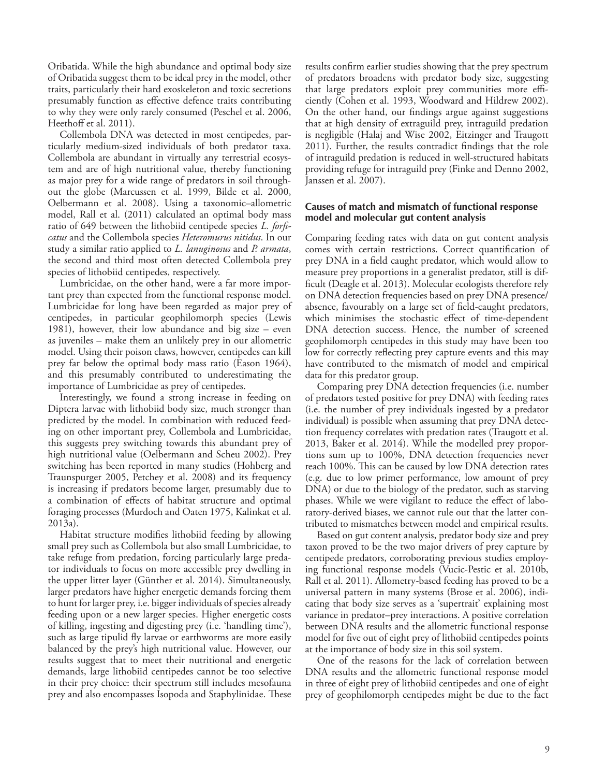Oribatida. While the high abundance and optimal body size of Oribatida suggest them to be ideal prey in the model, other traits, particularly their hard exoskeleton and toxic secretions presumably function as effective defence traits contributing to why they were only rarely consumed (Peschel et al. 2006, Heethoff et al. 2011).

Collembola DNA was detected in most centipedes, particularly medium-sized individuals of both predator taxa. Collembola are abundant in virtually any terrestrial ecosystem and are of high nutritional value, thereby functioning as major prey for a wide range of predators in soil throughout the globe (Marcussen et al. 1999, Bilde et al. 2000, Oelbermann et al. 2008). Using a taxonomic–allometric model, Rall et al. (2011) calculated an optimal body mass ratio of 649 between the lithobiid centipede species *L. forficatus* and the Collembola species *Heteromurus nitidus*. In our study a similar ratio applied to *L. lanuginosus* and *P. armata*, the second and third most often detected Collembola prey species of lithobiid centipedes, respectively.

Lumbricidae, on the other hand, were a far more important prey than expected from the functional response model. Lumbricidae for long have been regarded as major prey of centipedes, in particular geophilomorph species (Lewis 1981), however, their low abundance and big size – even as juveniles – make them an unlikely prey in our allometric model. Using their poison claws, however, centipedes can kill prey far below the optimal body mass ratio (Eason 1964), and this presumably contributed to underestimating the importance of Lumbricidae as prey of centipedes.

Interestingly, we found a strong increase in feeding on Diptera larvae with lithobiid body size, much stronger than predicted by the model. In combination with reduced feeding on other important prey, Collembola and Lumbricidae, this suggests prey switching towards this abundant prey of high nutritional value (Oelbermann and Scheu 2002). Prey switching has been reported in many studies (Hohberg and Traunspurger 2005, Petchey et al. 2008) and its frequency is increasing if predators become larger, presumably due to a combination of effects of habitat structure and optimal foraging processes (Murdoch and Oaten 1975, Kalinkat et al. 2013a).

Habitat structure modifies lithobiid feeding by allowing small prey such as Collembola but also small Lumbricidae, to take refuge from predation, forcing particularly large predator individuals to focus on more accessible prey dwelling in the upper litter layer (Günther et al. 2014). Simultaneously, larger predators have higher energetic demands forcing them to hunt for larger prey, i.e. bigger individuals of species already feeding upon or a new larger species. Higher energetic costs of killing, ingesting and digesting prey (i.e. 'handling time'), such as large tipulid fly larvae or earthworms are more easily balanced by the prey's high nutritional value. However, our results suggest that to meet their nutritional and energetic demands, large lithobiid centipedes cannot be too selective in their prey choice: their spectrum still includes mesofauna prey and also encompasses Isopoda and Staphylinidae. These

results confirm earlier studies showing that the prey spectrum of predators broadens with predator body size, suggesting that large predators exploit prey communities more efficiently (Cohen et al. 1993, Woodward and Hildrew 2002). On the other hand, our findings argue against suggestions that at high density of extraguild prey, intraguild predation is negligible (Halaj and Wise 2002, Eitzinger and Traugott 2011). Further, the results contradict findings that the role of intraguild predation is reduced in well-structured habitats providing refuge for intraguild prey (Finke and Denno 2002, Janssen et al. 2007).

# **Causes of match and mismatch of functional response model and molecular gut content analysis**

Comparing feeding rates with data on gut content analysis comes with certain restrictions. Correct quantification of prey DNA in a field caught predator, which would allow to measure prey proportions in a generalist predator, still is difficult (Deagle et al. 2013). Molecular ecologists therefore rely on DNA detection frequencies based on prey DNA presence/ absence, favourably on a large set of field-caught predators, which minimises the stochastic effect of time-dependent DNA detection success. Hence, the number of screened geophilomorph centipedes in this study may have been too low for correctly reflecting prey capture events and this may have contributed to the mismatch of model and empirical data for this predator group.

Comparing prey DNA detection frequencies (i.e. number of predators tested positive for prey DNA) with feeding rates (i.e. the number of prey individuals ingested by a predator individual) is possible when assuming that prey DNA detection frequency correlates with predation rates (Traugott et al. 2013, Baker et al. 2014). While the modelled prey proportions sum up to 100%, DNA detection frequencies never reach 100%. This can be caused by low DNA detection rates (e.g. due to low primer performance, low amount of prey DNA) or due to the biology of the predator, such as starving phases. While we were vigilant to reduce the effect of laboratory-derived biases, we cannot rule out that the latter contributed to mismatches between model and empirical results.

Based on gut content analysis, predator body size and prey taxon proved to be the two major drivers of prey capture by centipede predators, corroborating previous studies employing functional response models (Vucic-Pestic et al. 2010b, Rall et al. 2011). Allometry-based feeding has proved to be a universal pattern in many systems (Brose et al. 2006), indicating that body size serves as a 'supertrait' explaining most variance in predator–prey interactions. A positive correlation between DNA results and the allometric functional response model for five out of eight prey of lithobiid centipedes points at the importance of body size in this soil system.

One of the reasons for the lack of correlation between DNA results and the allometric functional response model in three of eight prey of lithobiid centipedes and one of eight prey of geophilomorph centipedes might be due to the fact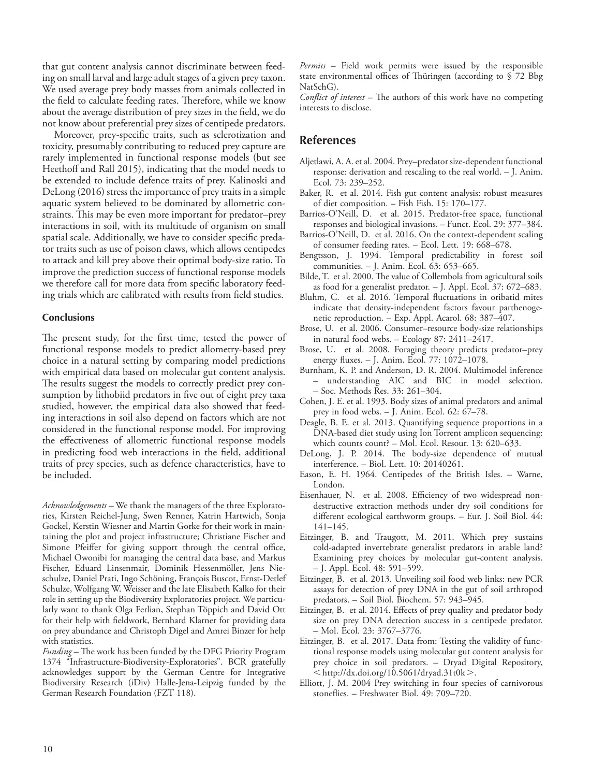that gut content analysis cannot discriminate between feeding on small larval and large adult stages of a given prey taxon. We used average prey body masses from animals collected in the field to calculate feeding rates. Therefore, while we know about the average distribution of prey sizes in the field, we do not know about preferential prey sizes of centipede predators.

Moreover, prey-specific traits, such as sclerotization and toxicity, presumably contributing to reduced prey capture are rarely implemented in functional response models (but see Heethoff and Rall 2015), indicating that the model needs to be extended to include defence traits of prey. Kalinoski and DeLong (2016) stress the importance of prey traits in a simple aquatic system believed to be dominated by allometric constraints. This may be even more important for predator–prey interactions in soil, with its multitude of organism on small spatial scale. Additionally, we have to consider specific predator traits such as use of poison claws, which allows centipedes to attack and kill prey above their optimal body-size ratio. To improve the prediction success of functional response models we therefore call for more data from specific laboratory feeding trials which are calibrated with results from field studies.

### **Conclusions**

The present study, for the first time, tested the power of functional response models to predict allometry-based prey choice in a natural setting by comparing model predictions with empirical data based on molecular gut content analysis. The results suggest the models to correctly predict prey consumption by lithobiid predators in five out of eight prey taxa studied, however, the empirical data also showed that feeding interactions in soil also depend on factors which are not considered in the functional response model. For improving the effectiveness of allometric functional response models in predicting food web interactions in the field, additional traits of prey species, such as defence characteristics, have to be included.

*Acknowledgements –* We thank the managers of the three Exploratories, Kirsten Reichel-Jung, Swen Renner, Katrin Hartwich, Sonja Gockel, Kerstin Wiesner and Martin Gorke for their work in maintaining the plot and project infrastructure; Christiane Fischer and Simone Pfeiffer for giving support through the central office, Michael Owonibi for managing the central data base, and Markus Fischer, Eduard Linsenmair, Dominik Hessenmöller, Jens Nieschulze, Daniel Prati, Ingo Schöning, François Buscot, Ernst-Detlef Schulze, Wolfgang W. Weisser and the late Elisabeth Kalko for their role in setting up the Biodiversity Exploratories project. We particularly want to thank Olga Ferlian, Stephan Töppich and David Ott for their help with fieldwork, Bernhard Klarner for providing data on prey abundance and Christoph Digel and Amrei Binzer for help with statistics.

*Funding* – The work has been funded by the DFG Priority Program 1374 "Infrastructure-Biodiversity-Exploratories". BCR gratefully acknowledges support by the German Centre for Integrative Biodiversity Research (iDiv) Halle-Jena-Leipzig funded by the German Research Foundation (FZT 118).

*Permits* – Field work permits were issued by the responsible state environmental offices of Thüringen (according to  $\hat{\sqrt{2}}$  Bbg NatSchG).

*Conflict of interest* – The authors of this work have no competing interests to disclose.

# **References**

- Aljetlawi, A. A. et al. 2004. Prey–predator size-dependent functional response: derivation and rescaling to the real world. – J. Anim. Ecol. 73: 239–252.
- Baker, R. et al. 2014. Fish gut content analysis: robust measures of diet composition. – Fish Fish. 15: 170–177.
- Barrios-O'Neill, D. et al. 2015. Predator-free space, functional responses and biological invasions. – Funct. Ecol. 29: 377–384.
- Barrios-O'Neill, D. et al. 2016. On the context-dependent scaling of consumer feeding rates. – Ecol. Lett. 19: 668–678.
- Bengtsson, J. 1994. Temporal predictability in forest soil communities. – J. Anim. Ecol. 63: 653–665.
- Bilde, T. et al. 2000. The value of Collembola from agricultural soils as food for a generalist predator. – J. Appl. Ecol. 37: 672–683.
- Bluhm, C. et al. 2016. Temporal fluctuations in oribatid mites indicate that density-independent factors favour parthenogenetic reproduction. – Exp. Appl. Acarol. 68: 387–407.
- Brose, U. et al. 2006. Consumer–resource body-size relationships in natural food webs. – Ecology 87: 2411–2417.
- Brose, U. et al. 2008. Foraging theory predicts predator-prey energy fluxes. – J. Anim. Ecol. 77: 1072–1078.
- Burnham, K. P. and Anderson, D. R. 2004. Multimodel inference – understanding AIC and BIC in model selection. – Soc. Methods Res. 33: 261–304.
- Cohen, J. E. et al. 1993. Body sizes of animal predators and animal prey in food webs. – J. Anim. Ecol. 62: 67–78.
- Deagle, B. E. et al. 2013. Quantifying sequence proportions in a DNA-based diet study using Ion Torrent amplicon sequencing: which counts count? – Mol. Ecol. Resour. 13: 620–633.
- DeLong, J. P. 2014. The body-size dependence of mutual interference. – Biol. Lett. 10: 20140261.
- Eason, E. H. 1964. Centipedes of the British Isles. Warne, London.
- Eisenhauer, N. et al. 2008. Efficiency of two widespread nondestructive extraction methods under dry soil conditions for different ecological earthworm groups. – Eur. J. Soil Biol. 44: 141–145.
- Eitzinger, B. and Traugott, M. 2011. Which prey sustains cold-adapted invertebrate generalist predators in arable land? Examining prey choices by molecular gut-content analysis. – J. Appl. Ecol. 48: 591–599.
- Eitzinger, B. et al. 2013. Unveiling soil food web links: new PCR assays for detection of prey DNA in the gut of soil arthropod predators. – Soil Biol. Biochem. 57: 943–945.
- Eitzinger, B. et al. 2014. Effects of prey quality and predator body size on prey DNA detection success in a centipede predator. – Mol. Ecol. 23: 3767–3776.
- Eitzinger, B. et al. 2017. Data from: Testing the validity of functional response models using molecular gut content analysis for prey choice in soil predators. – Dryad Digital Repository,  $\langle \text{http://dx.doi.org/10.5061/dryad.31t0k>}\rangle$ .
- Elliott, J. M. 2004 Prey switching in four species of carnivorous stoneflies. – Freshwater Biol. 49: 709–720.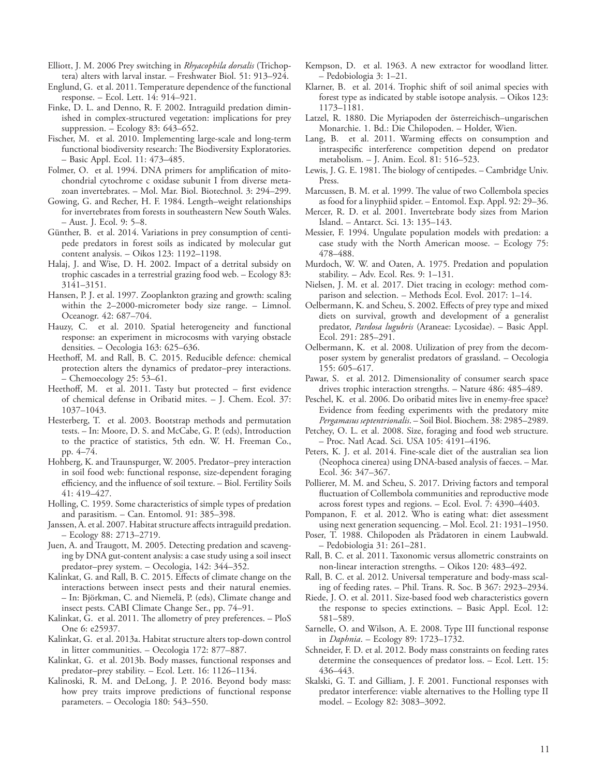- Elliott, J. M. 2006 Prey switching in *Rhyacophila dorsalis* (Trichoptera) alters with larval instar. – Freshwater Biol. 51: 913–924.
- Englund, G. et al. 2011. Temperature dependence of the functional response. – Ecol. Lett. 14: 914–921.
- Finke, D. L. and Denno, R. F. 2002. Intraguild predation diminished in complex-structured vegetation: implications for prey suppression. – Ecology 83: 643–652.
- Fischer, M. et al. 2010. Implementing large-scale and long-term functional biodiversity research: The Biodiversity Exploratories. – Basic Appl. Ecol. 11: 473–485.
- Folmer, O. et al. 1994. DNA primers for amplification of mitochondrial cytochrome c oxidase subunit I from diverse metazoan invertebrates. – Mol. Mar. Biol. Biotechnol. 3: 294–299.
- Gowing, G. and Recher, H. F. 1984. Length–weight relationships for invertebrates from forests in southeastern New South Wales. – Aust. J. Ecol. 9: 5–8.
- Günther, B. et al. 2014. Variations in prey consumption of centipede predators in forest soils as indicated by molecular gut content analysis. – Oikos 123: 1192–1198.
- Halaj, J. and Wise, D. H. 2002. Impact of a detrital subsidy on trophic cascades in a terrestrial grazing food web. – Ecology 83: 3141–3151.
- Hansen, P. J. et al. 1997. Zooplankton grazing and growth: scaling within the 2–2000-micrometer body size range. – Limnol. Oceanogr. 42: 687–704.
- Hauzy, C. et al. 2010. Spatial heterogeneity and functional response: an experiment in microcosms with varying obstacle densities. – Oecologia 163: 625–636.
- Heethoff, M. and Rall, B. C. 2015. Reducible defence: chemical protection alters the dynamics of predator–prey interactions. – Chemoecology 25: 53–61.
- Heethoff, M. et al. 2011. Tasty but protected first evidence of chemical defense in Oribatid mites. – J. Chem. Ecol. 37: 1037–1043.
- Hesterberg, T. et al. 2003. Bootstrap methods and permutation tests. – In: Moore, D. S. and McCabe, G. P. (eds), Introduction to the practice of statistics, 5th edn. W. H. Freeman Co., pp. 4–74.
- Hohberg, K. and Traunspurger, W. 2005. Predator–prey interaction in soil food web: functional response, size-dependent foraging efficiency, and the influence of soil texture. – Biol. Fertility Soils 41: 419–427.
- Holling, C. 1959. Some characteristics of simple types of predation and parasitism. – Can. Entomol. 91: 385–398.
- Janssen, A. et al. 2007. Habitat structure affects intraguild predation. – Ecology 88: 2713–2719.
- Juen, A. and Traugott, M. 2005. Detecting predation and scavenging by DNA gut-content analysis: a case study using a soil insect predator–prey system. – Oecologia, 142: 344–352.
- Kalinkat, G. and Rall, B. C. 2015. Effects of climate change on the interactions between insect pests and their natural enemies. – In: Björkman, C. and Niemelä, P. (eds), Climate change and insect pests. CABI Climate Change Ser., pp. 74–91.
- Kalinkat, G. et al. 2011. The allometry of prey preferences. PloS One 6: e25937.
- Kalinkat, G. et al. 2013a. Habitat structure alters top-down control in litter communities. – Oecologia 172: 877–887.
- Kalinkat, G. et al. 2013b. Body masses, functional responses and predator–prey stability. – Ecol. Lett. 16: 1126–1134.
- Kalinoski, R. M. and DeLong, J. P. 2016. Beyond body mass: how prey traits improve predictions of functional response parameters. – Oecologia 180: 543–550.
- Kempson, D. et al. 1963. A new extractor for woodland litter. – Pedobiologia 3: 1–21.
- Klarner, B. et al. 2014. Trophic shift of soil animal species with forest type as indicated by stable isotope analysis. – Oikos 123: 1173–1181.
- Latzel, R. 1880. Die Myriapoden der österreichisch–ungarischen Monarchie. 1. Bd.: Die Chilopoden. – Holder, Wien.
- Lang, B. et al. 2011. Warming effects on consumption and intraspecific interference competition depend on predator metabolism. – J. Anim. Ecol. 81: 516–523.
- Lewis, J. G. E. 1981. The biology of centipedes. Cambridge Univ. Press.
- Marcussen, B. M. et al. 1999. The value of two Collembola species as food for a linyphiid spider. – Entomol. Exp. Appl. 92: 29–36.
- Mercer, R. D. et al. 2001. Invertebrate body sizes from Marion Island. – Antarct. Sci. 13: 135–143.
- Messier, F. 1994. Ungulate population models with predation: a case study with the North American moose. – Ecology 75: 478–488.
- Murdoch, W. W. and Oaten, A. 1975. Predation and population stability. – Adv. Ecol. Res. 9: 1–131.
- Nielsen, J. M. et al. 2017. Diet tracing in ecology: method comparison and selection. – Methods Ecol. Evol. 2017: 1–14.
- Oelbermann, K. and Scheu, S. 2002. Effects of prey type and mixed diets on survival, growth and development of a generalist predator, *Pardosa lugubris* (Araneae: Lycosidae). – Basic Appl. Ecol. 291: 285–291.
- Oelbermann, K. et al. 2008. Utilization of prey from the decomposer system by generalist predators of grassland. – Oecologia 155: 605–617.
- Pawar, S. et al. 2012. Dimensionality of consumer search space drives trophic interaction strengths. – Nature 486: 485–489.
- Peschel, K. et al. 2006. Do oribatid mites live in enemy-free space? Evidence from feeding experiments with the predatory mite *Pergamasus septentrionalis*. – Soil Biol. Biochem. 38: 2985–2989.
- Petchey, O. L. et al. 2008. Size, foraging and food web structure. – Proc. Natl Acad. Sci. USA 105: 4191–4196.
- Peters, K. J. et al. 2014. Fine-scale diet of the australian sea lion (Neophoca cinerea) using DNA-based analysis of faeces. – Mar. Ecol. 36: 347–367.
- Pollierer, M. M. and Scheu, S. 2017. Driving factors and temporal fluctuation of Collembola communities and reproductive mode across forest types and regions. – Ecol. Evol. 7: 4390–4403.
- Pompanon, F. et al. 2012. Who is eating what: diet assessment using next generation sequencing. – Mol. Ecol. 21: 1931–1950.
- Poser, T. 1988. Chilopoden als Prädatoren in einem Laubwald. – Pedobiologia 31: 261–281.
- Rall, B. C. et al. 2011. Taxonomic versus allometric constraints on non-linear interaction strengths. – Oikos 120: 483–492.
- Rall, B. C. et al. 2012. Universal temperature and body-mass scaling of feeding rates. – Phil. Trans. R. Soc. B 367: 2923–2934.
- Riede, J. O. et al. 2011. Size-based food web characteristics govern the response to species extinctions. – Basic Appl. Ecol. 12: 581–589.
- Sarnelle, O. and Wilson, A. E. 2008. Type III functional response in *Daphnia*. – Ecology 89: 1723–1732.
- Schneider, F. D. et al. 2012. Body mass constraints on feeding rates determine the consequences of predator loss. – Ecol. Lett. 15: 436–443.
- Skalski, G. T. and Gilliam, J. F. 2001. Functional responses with predator interference: viable alternatives to the Holling type II model. – Ecology 82: 3083–3092.